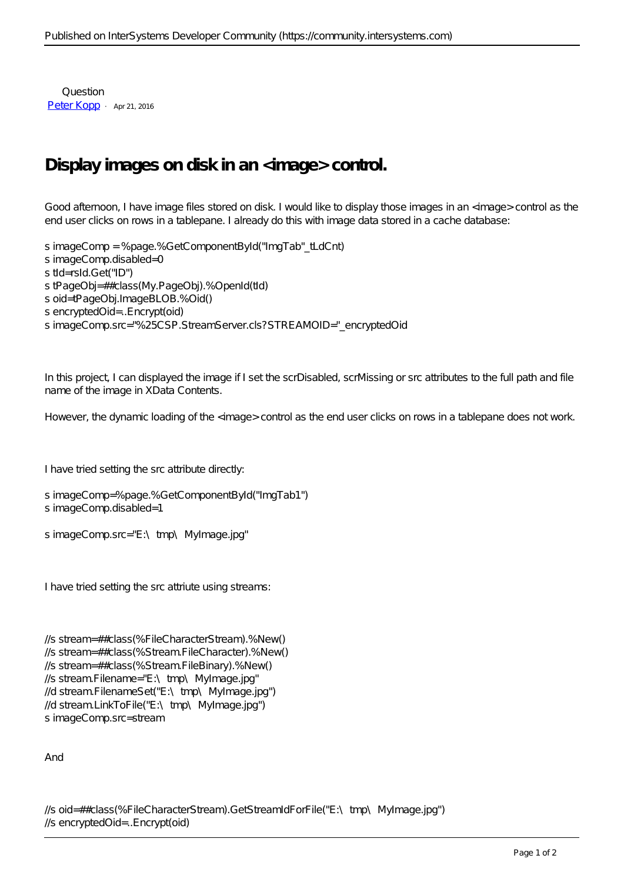Question [Peter Kopp](https://community.intersystems.com/user/peter-kopp) · Apr 21, 2016

## **Display images on disk in an <image> control.**

Good afternoon, I have image files stored on disk. I would like to display those images in an <image> control as the end user clicks on rows in a tablepane. I already do this with image data stored in a cache database:

s imageComp = %page.%GetComponentById("ImgTab" tLdCnt) s imageComp.disabled=0 s tId=rsId.Get("ID") s tPageObj=##class(My.PageObj).%OpenId(tId) s oid=tPageObj.ImageBLOB.%Oid() s encryptedOid=..Encrypt(oid) s imageComp.src="%25CSP.StreamServer.cls?STREAMOID="\_encryptedOid

In this project, I can displayed the image if I set the scrDisabled, scrMissing or src attributes to the full path and file name of the image in XData Contents.

However, the dynamic loading of the <image> control as the end user clicks on rows in a tablepane does not work.

I have tried setting the src attribute directly:

```
s imageComp=%page.%GetComponentById("ImgTab1")
s imageComp.disabled=1
```
s imageComp.src="E:\tmp\MyImage.jpg"

I have tried setting the src attriute using streams:

```
//s stream=##class(%FileCharacterStream). %New()
//s stream=##class(%Stream.FileCharacter).%New()
//s stream=##class(%Stream.FileBinary).%New()
//s stream.Filename="E:\nabla \text{mp}\nabla \text{MyImage.jpg}"
//d stream.FilenameSet("E:\tmp\MyImage.jpg")
//d stream.LinkToFile("E:\tmp\MyImage.jpg")
s imageComp.src=stream
```
And